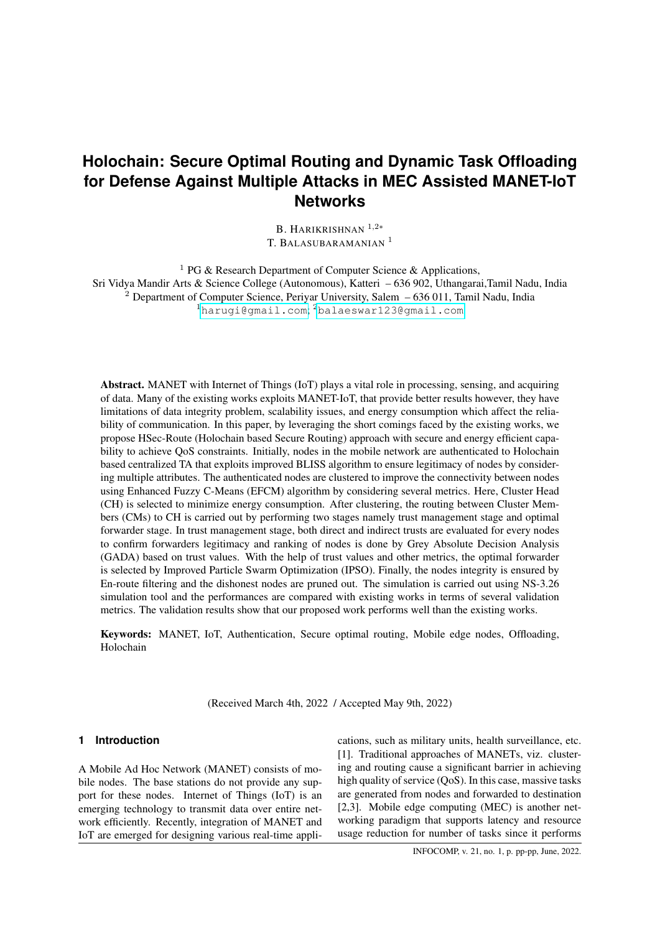B. HARIKRISHNAN<sup>1,2∗</sup> T. BALASUBARAMANIAN<sup>1</sup>

<sup>1</sup> PG & Research Department of Computer Science & Applications, Sri Vidya Mandir Arts & Science College (Autonomous), Katteri – 636 902, Uthangarai,Tamil Nadu, India <sup>2</sup> Department of Computer Science, Periyar University, Salem – 636 011, Tamil Nadu, India <sup>1</sup><harugi@gmail.com>; <sup>2</sup><balaeswar123@gmail.com>

Abstract. MANET with Internet of Things (IoT) plays a vital role in processing, sensing, and acquiring of data. Many of the existing works exploits MANET-IoT, that provide better results however, they have limitations of data integrity problem, scalability issues, and energy consumption which affect the reliability of communication. In this paper, by leveraging the short comings faced by the existing works, we propose HSec-Route (Holochain based Secure Routing) approach with secure and energy efficient capability to achieve QoS constraints. Initially, nodes in the mobile network are authenticated to Holochain based centralized TA that exploits improved BLISS algorithm to ensure legitimacy of nodes by considering multiple attributes. The authenticated nodes are clustered to improve the connectivity between nodes using Enhanced Fuzzy C-Means (EFCM) algorithm by considering several metrics. Here, Cluster Head (CH) is selected to minimize energy consumption. After clustering, the routing between Cluster Members (CMs) to CH is carried out by performing two stages namely trust management stage and optimal forwarder stage. In trust management stage, both direct and indirect trusts are evaluated for every nodes to confirm forwarders legitimacy and ranking of nodes is done by Grey Absolute Decision Analysis (GADA) based on trust values. With the help of trust values and other metrics, the optimal forwarder is selected by Improved Particle Swarm Optimization (IPSO). Finally, the nodes integrity is ensured by En-route filtering and the dishonest nodes are pruned out. The simulation is carried out using NS-3.26 simulation tool and the performances are compared with existing works in terms of several validation metrics. The validation results show that our proposed work performs well than the existing works.

Keywords: MANET, IoT, Authentication, Secure optimal routing, Mobile edge nodes, Offloading, Holochain

(Received March 4th, 2022 / Accepted May 9th, 2022)

### **1 Introduction**

A Mobile Ad Hoc Network (MANET) consists of mobile nodes. The base stations do not provide any support for these nodes. Internet of Things (IoT) is an emerging technology to transmit data over entire network efficiently. Recently, integration of MANET and IoT are emerged for designing various real-time applications, such as military units, health surveillance, etc. [1]. Traditional approaches of MANETs, viz. clustering and routing cause a significant barrier in achieving high quality of service (QoS). In this case, massive tasks are generated from nodes and forwarded to destination [2,3]. Mobile edge computing (MEC) is another networking paradigm that supports latency and resource usage reduction for number of tasks since it performs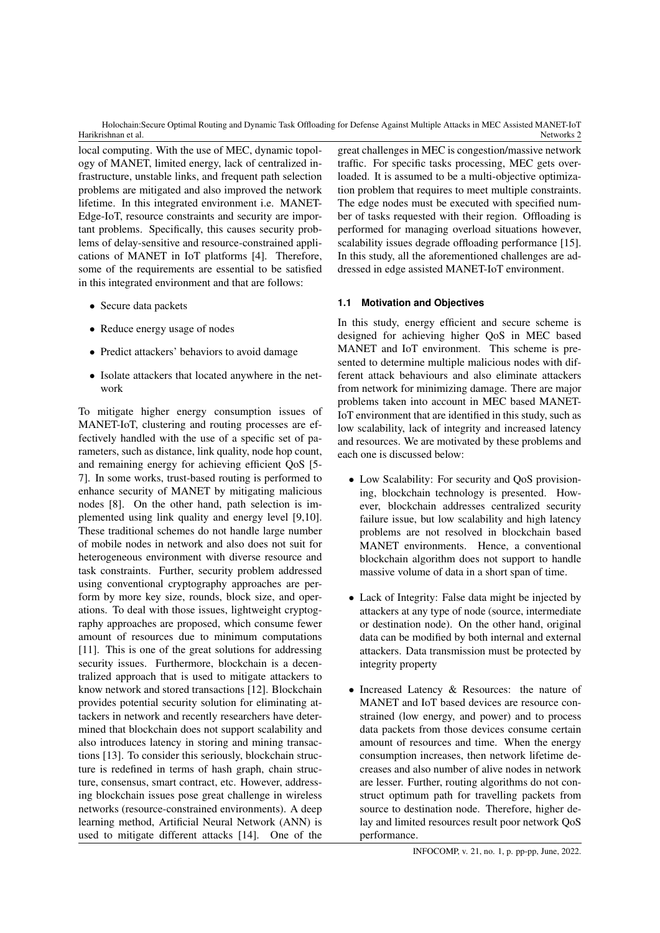local computing. With the use of MEC, dynamic topology of MANET, limited energy, lack of centralized infrastructure, unstable links, and frequent path selection problems are mitigated and also improved the network lifetime. In this integrated environment i.e. MANET-Edge-IoT, resource constraints and security are important problems. Specifically, this causes security problems of delay-sensitive and resource-constrained applications of MANET in IoT platforms [4]. Therefore, some of the requirements are essential to be satisfied in this integrated environment and that are follows:

- Secure data packets
- Reduce energy usage of nodes
- Predict attackers' behaviors to avoid damage
- Isolate attackers that located anywhere in the network

To mitigate higher energy consumption issues of MANET-IoT, clustering and routing processes are effectively handled with the use of a specific set of parameters, such as distance, link quality, node hop count, and remaining energy for achieving efficient QoS [5- 7]. In some works, trust-based routing is performed to enhance security of MANET by mitigating malicious nodes [8]. On the other hand, path selection is implemented using link quality and energy level [9,10]. These traditional schemes do not handle large number of mobile nodes in network and also does not suit for heterogeneous environment with diverse resource and task constraints. Further, security problem addressed using conventional cryptography approaches are perform by more key size, rounds, block size, and operations. To deal with those issues, lightweight cryptography approaches are proposed, which consume fewer amount of resources due to minimum computations [11]. This is one of the great solutions for addressing security issues. Furthermore, blockchain is a decentralized approach that is used to mitigate attackers to know network and stored transactions [12]. Blockchain provides potential security solution for eliminating attackers in network and recently researchers have determined that blockchain does not support scalability and also introduces latency in storing and mining transactions [13]. To consider this seriously, blockchain structure is redefined in terms of hash graph, chain structure, consensus, smart contract, etc. However, addressing blockchain issues pose great challenge in wireless networks (resource-constrained environments). A deep learning method, Artificial Neural Network (ANN) is used to mitigate different attacks [14]. One of the

great challenges in MEC is congestion/massive network traffic. For specific tasks processing, MEC gets overloaded. It is assumed to be a multi-objective optimization problem that requires to meet multiple constraints. The edge nodes must be executed with specified number of tasks requested with their region. Offloading is performed for managing overload situations however, scalability issues degrade offloading performance [15]. In this study, all the aforementioned challenges are addressed in edge assisted MANET-IoT environment.

### **1.1 Motivation and Objectives**

In this study, energy efficient and secure scheme is designed for achieving higher QoS in MEC based MANET and IoT environment. This scheme is presented to determine multiple malicious nodes with different attack behaviours and also eliminate attackers from network for minimizing damage. There are major problems taken into account in MEC based MANET-IoT environment that are identified in this study, such as low scalability, lack of integrity and increased latency and resources. We are motivated by these problems and each one is discussed below:

- Low Scalability: For security and QoS provisioning, blockchain technology is presented. However, blockchain addresses centralized security failure issue, but low scalability and high latency problems are not resolved in blockchain based MANET environments. Hence, a conventional blockchain algorithm does not support to handle massive volume of data in a short span of time.
- Lack of Integrity: False data might be injected by attackers at any type of node (source, intermediate or destination node). On the other hand, original data can be modified by both internal and external attackers. Data transmission must be protected by integrity property
- Increased Latency & Resources: the nature of MANET and IoT based devices are resource constrained (low energy, and power) and to process data packets from those devices consume certain amount of resources and time. When the energy consumption increases, then network lifetime decreases and also number of alive nodes in network are lesser. Further, routing algorithms do not construct optimum path for travelling packets from source to destination node. Therefore, higher delay and limited resources result poor network QoS performance.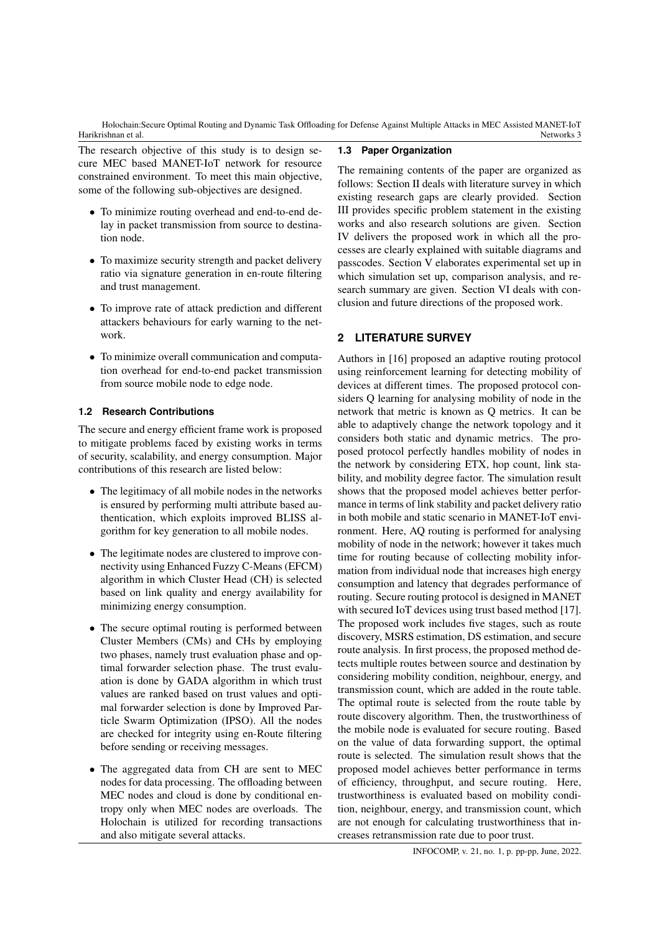The research objective of this study is to design secure MEC based MANET-IoT network for resource constrained environment. To meet this main objective, some of the following sub-objectives are designed.

- To minimize routing overhead and end-to-end delay in packet transmission from source to destination node.
- To maximize security strength and packet delivery ratio via signature generation in en-route filtering and trust management.
- To improve rate of attack prediction and different attackers behaviours for early warning to the network.
- To minimize overall communication and computation overhead for end-to-end packet transmission from source mobile node to edge node.

### **1.2 Research Contributions**

The secure and energy efficient frame work is proposed to mitigate problems faced by existing works in terms of security, scalability, and energy consumption. Major contributions of this research are listed below:

- The legitimacy of all mobile nodes in the networks is ensured by performing multi attribute based authentication, which exploits improved BLISS algorithm for key generation to all mobile nodes.
- The legitimate nodes are clustered to improve connectivity using Enhanced Fuzzy C-Means (EFCM) algorithm in which Cluster Head (CH) is selected based on link quality and energy availability for minimizing energy consumption.
- The secure optimal routing is performed between Cluster Members (CMs) and CHs by employing two phases, namely trust evaluation phase and optimal forwarder selection phase. The trust evaluation is done by GADA algorithm in which trust values are ranked based on trust values and optimal forwarder selection is done by Improved Particle Swarm Optimization (IPSO). All the nodes are checked for integrity using en-Route filtering before sending or receiving messages.
- The aggregated data from CH are sent to MEC nodes for data processing. The offloading between MEC nodes and cloud is done by conditional entropy only when MEC nodes are overloads. The Holochain is utilized for recording transactions and also mitigate several attacks.

### **1.3 Paper Organization**

The remaining contents of the paper are organized as follows: Section II deals with literature survey in which existing research gaps are clearly provided. Section III provides specific problem statement in the existing works and also research solutions are given. Section IV delivers the proposed work in which all the processes are clearly explained with suitable diagrams and passcodes. Section V elaborates experimental set up in which simulation set up, comparison analysis, and research summary are given. Section VI deals with conclusion and future directions of the proposed work.

# **2 LITERATURE SURVEY**

Authors in [16] proposed an adaptive routing protocol using reinforcement learning for detecting mobility of devices at different times. The proposed protocol considers Q learning for analysing mobility of node in the network that metric is known as Q metrics. It can be able to adaptively change the network topology and it considers both static and dynamic metrics. The proposed protocol perfectly handles mobility of nodes in the network by considering ETX, hop count, link stability, and mobility degree factor. The simulation result shows that the proposed model achieves better performance in terms of link stability and packet delivery ratio in both mobile and static scenario in MANET-IoT environment. Here, AQ routing is performed for analysing mobility of node in the network; however it takes much time for routing because of collecting mobility information from individual node that increases high energy consumption and latency that degrades performance of routing. Secure routing protocol is designed in MANET with secured IoT devices using trust based method [17]. The proposed work includes five stages, such as route discovery, MSRS estimation, DS estimation, and secure route analysis. In first process, the proposed method detects multiple routes between source and destination by considering mobility condition, neighbour, energy, and transmission count, which are added in the route table. The optimal route is selected from the route table by route discovery algorithm. Then, the trustworthiness of the mobile node is evaluated for secure routing. Based on the value of data forwarding support, the optimal route is selected. The simulation result shows that the proposed model achieves better performance in terms of efficiency, throughput, and secure routing. Here, trustworthiness is evaluated based on mobility condition, neighbour, energy, and transmission count, which are not enough for calculating trustworthiness that increases retransmission rate due to poor trust.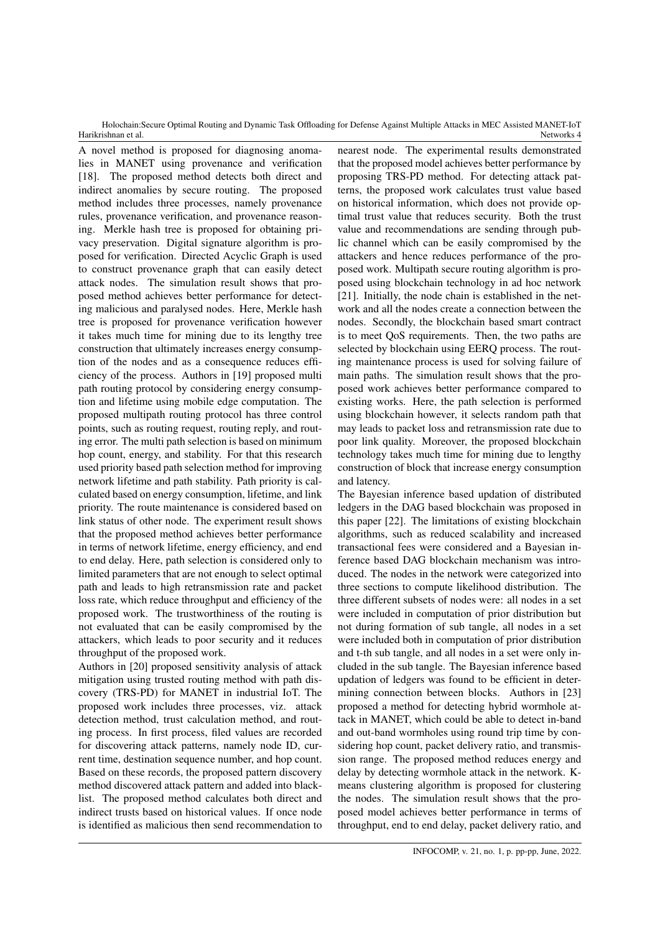A novel method is proposed for diagnosing anomalies in MANET using provenance and verification [18]. The proposed method detects both direct and indirect anomalies by secure routing. The proposed method includes three processes, namely provenance rules, provenance verification, and provenance reasoning. Merkle hash tree is proposed for obtaining privacy preservation. Digital signature algorithm is proposed for verification. Directed Acyclic Graph is used to construct provenance graph that can easily detect attack nodes. The simulation result shows that proposed method achieves better performance for detecting malicious and paralysed nodes. Here, Merkle hash tree is proposed for provenance verification however it takes much time for mining due to its lengthy tree construction that ultimately increases energy consumption of the nodes and as a consequence reduces efficiency of the process. Authors in [19] proposed multi path routing protocol by considering energy consumption and lifetime using mobile edge computation. The proposed multipath routing protocol has three control points, such as routing request, routing reply, and routing error. The multi path selection is based on minimum hop count, energy, and stability. For that this research used priority based path selection method for improving network lifetime and path stability. Path priority is calculated based on energy consumption, lifetime, and link priority. The route maintenance is considered based on link status of other node. The experiment result shows that the proposed method achieves better performance in terms of network lifetime, energy efficiency, and end to end delay. Here, path selection is considered only to limited parameters that are not enough to select optimal path and leads to high retransmission rate and packet loss rate, which reduce throughput and efficiency of the proposed work. The trustworthiness of the routing is not evaluated that can be easily compromised by the attackers, which leads to poor security and it reduces throughput of the proposed work.

Authors in [20] proposed sensitivity analysis of attack mitigation using trusted routing method with path discovery (TRS-PD) for MANET in industrial IoT. The proposed work includes three processes, viz. attack detection method, trust calculation method, and routing process. In first process, filed values are recorded for discovering attack patterns, namely node ID, current time, destination sequence number, and hop count. Based on these records, the proposed pattern discovery method discovered attack pattern and added into blacklist. The proposed method calculates both direct and indirect trusts based on historical values. If once node is identified as malicious then send recommendation to

nearest node. The experimental results demonstrated that the proposed model achieves better performance by proposing TRS-PD method. For detecting attack patterns, the proposed work calculates trust value based on historical information, which does not provide optimal trust value that reduces security. Both the trust value and recommendations are sending through public channel which can be easily compromised by the attackers and hence reduces performance of the proposed work. Multipath secure routing algorithm is proposed using blockchain technology in ad hoc network [21]. Initially, the node chain is established in the network and all the nodes create a connection between the nodes. Secondly, the blockchain based smart contract is to meet QoS requirements. Then, the two paths are selected by blockchain using EERQ process. The routing maintenance process is used for solving failure of main paths. The simulation result shows that the proposed work achieves better performance compared to existing works. Here, the path selection is performed using blockchain however, it selects random path that may leads to packet loss and retransmission rate due to poor link quality. Moreover, the proposed blockchain technology takes much time for mining due to lengthy construction of block that increase energy consumption and latency.

The Bayesian inference based updation of distributed ledgers in the DAG based blockchain was proposed in this paper [22]. The limitations of existing blockchain algorithms, such as reduced scalability and increased transactional fees were considered and a Bayesian inference based DAG blockchain mechanism was introduced. The nodes in the network were categorized into three sections to compute likelihood distribution. The three different subsets of nodes were: all nodes in a set were included in computation of prior distribution but not during formation of sub tangle, all nodes in a set were included both in computation of prior distribution and t-th sub tangle, and all nodes in a set were only included in the sub tangle. The Bayesian inference based updation of ledgers was found to be efficient in determining connection between blocks. Authors in [23] proposed a method for detecting hybrid wormhole attack in MANET, which could be able to detect in-band and out-band wormholes using round trip time by considering hop count, packet delivery ratio, and transmission range. The proposed method reduces energy and delay by detecting wormhole attack in the network. Kmeans clustering algorithm is proposed for clustering the nodes. The simulation result shows that the proposed model achieves better performance in terms of throughput, end to end delay, packet delivery ratio, and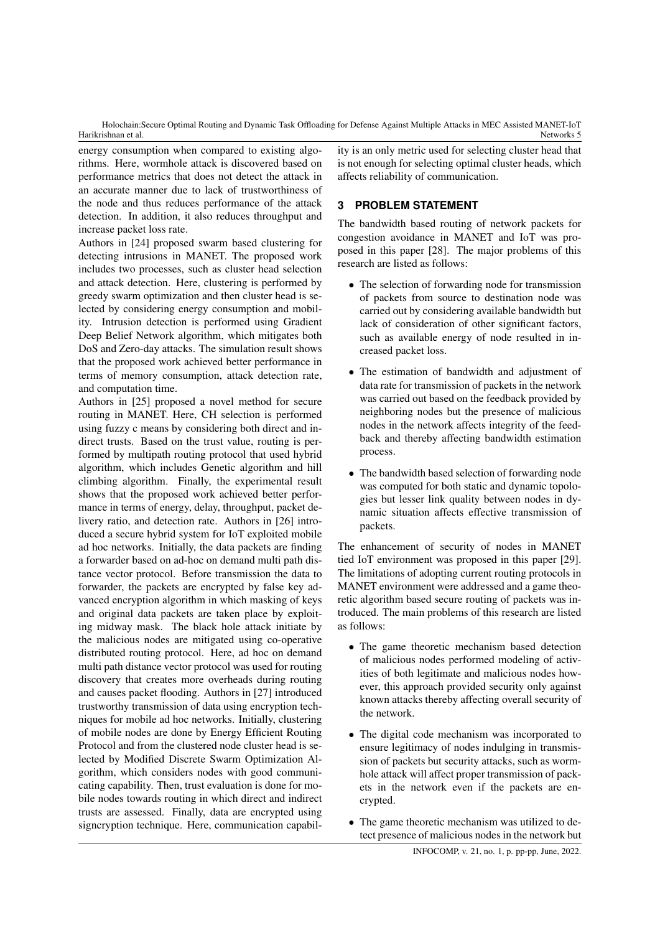energy consumption when compared to existing algorithms. Here, wormhole attack is discovered based on performance metrics that does not detect the attack in an accurate manner due to lack of trustworthiness of the node and thus reduces performance of the attack detection. In addition, it also reduces throughput and increase packet loss rate.

Authors in [24] proposed swarm based clustering for detecting intrusions in MANET. The proposed work includes two processes, such as cluster head selection and attack detection. Here, clustering is performed by greedy swarm optimization and then cluster head is selected by considering energy consumption and mobility. Intrusion detection is performed using Gradient Deep Belief Network algorithm, which mitigates both DoS and Zero-day attacks. The simulation result shows that the proposed work achieved better performance in terms of memory consumption, attack detection rate, and computation time.

Authors in [25] proposed a novel method for secure routing in MANET. Here, CH selection is performed using fuzzy c means by considering both direct and indirect trusts. Based on the trust value, routing is performed by multipath routing protocol that used hybrid algorithm, which includes Genetic algorithm and hill climbing algorithm. Finally, the experimental result shows that the proposed work achieved better performance in terms of energy, delay, throughput, packet delivery ratio, and detection rate. Authors in [26] introduced a secure hybrid system for IoT exploited mobile ad hoc networks. Initially, the data packets are finding a forwarder based on ad-hoc on demand multi path distance vector protocol. Before transmission the data to forwarder, the packets are encrypted by false key advanced encryption algorithm in which masking of keys and original data packets are taken place by exploiting midway mask. The black hole attack initiate by the malicious nodes are mitigated using co-operative distributed routing protocol. Here, ad hoc on demand multi path distance vector protocol was used for routing discovery that creates more overheads during routing and causes packet flooding. Authors in [27] introduced trustworthy transmission of data using encryption techniques for mobile ad hoc networks. Initially, clustering of mobile nodes are done by Energy Efficient Routing Protocol and from the clustered node cluster head is selected by Modified Discrete Swarm Optimization Algorithm, which considers nodes with good communicating capability. Then, trust evaluation is done for mobile nodes towards routing in which direct and indirect trusts are assessed. Finally, data are encrypted using signcryption technique. Here, communication capability is an only metric used for selecting cluster head that is not enough for selecting optimal cluster heads, which affects reliability of communication.

## **3 PROBLEM STATEMENT**

The bandwidth based routing of network packets for congestion avoidance in MANET and IoT was proposed in this paper [28]. The major problems of this research are listed as follows:

- The selection of forwarding node for transmission of packets from source to destination node was carried out by considering available bandwidth but lack of consideration of other significant factors, such as available energy of node resulted in increased packet loss.
- The estimation of bandwidth and adjustment of data rate for transmission of packets in the network was carried out based on the feedback provided by neighboring nodes but the presence of malicious nodes in the network affects integrity of the feedback and thereby affecting bandwidth estimation process.
- The bandwidth based selection of forwarding node was computed for both static and dynamic topologies but lesser link quality between nodes in dynamic situation affects effective transmission of packets.

The enhancement of security of nodes in MANET tied IoT environment was proposed in this paper [29]. The limitations of adopting current routing protocols in MANET environment were addressed and a game theoretic algorithm based secure routing of packets was introduced. The main problems of this research are listed as follows:

- The game theoretic mechanism based detection of malicious nodes performed modeling of activities of both legitimate and malicious nodes however, this approach provided security only against known attacks thereby affecting overall security of the network.
- The digital code mechanism was incorporated to ensure legitimacy of nodes indulging in transmission of packets but security attacks, such as wormhole attack will affect proper transmission of packets in the network even if the packets are encrypted.
- The game theoretic mechanism was utilized to detect presence of malicious nodes in the network but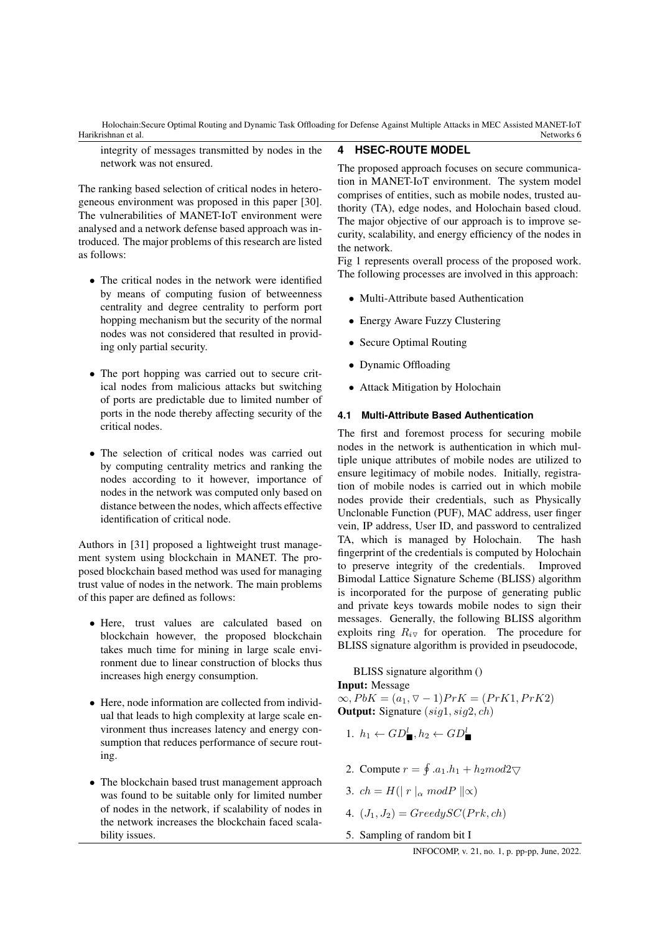integrity of messages transmitted by nodes in the network was not ensured.

The ranking based selection of critical nodes in heterogeneous environment was proposed in this paper [30]. The vulnerabilities of MANET-IoT environment were analysed and a network defense based approach was introduced. The major problems of this research are listed as follows:

- The critical nodes in the network were identified by means of computing fusion of betweenness centrality and degree centrality to perform port hopping mechanism but the security of the normal nodes was not considered that resulted in providing only partial security.
- The port hopping was carried out to secure critical nodes from malicious attacks but switching of ports are predictable due to limited number of ports in the node thereby affecting security of the critical nodes.
- The selection of critical nodes was carried out by computing centrality metrics and ranking the nodes according to it however, importance of nodes in the network was computed only based on distance between the nodes, which affects effective identification of critical node.

Authors in [31] proposed a lightweight trust management system using blockchain in MANET. The proposed blockchain based method was used for managing trust value of nodes in the network. The main problems of this paper are defined as follows:

- Here, trust values are calculated based on blockchain however, the proposed blockchain takes much time for mining in large scale environment due to linear construction of blocks thus increases high energy consumption.
- Here, node information are collected from individual that leads to high complexity at large scale environment thus increases latency and energy consumption that reduces performance of secure routing.
- The blockchain based trust management approach was found to be suitable only for limited number of nodes in the network, if scalability of nodes in the network increases the blockchain faced scalability issues.

### **4 HSEC-ROUTE MODEL**

The proposed approach focuses on secure communication in MANET-IoT environment. The system model comprises of entities, such as mobile nodes, trusted authority (TA), edge nodes, and Holochain based cloud. The major objective of our approach is to improve security, scalability, and energy efficiency of the nodes in the network.

Fig 1 represents overall process of the proposed work. The following processes are involved in this approach:

- Multi-Attribute based Authentication
- Energy Aware Fuzzy Clustering
- Secure Optimal Routing
- Dynamic Offloading
- Attack Mitigation by Holochain

### **4.1 Multi-Attribute Based Authentication**

The first and foremost process for securing mobile nodes in the network is authentication in which multiple unique attributes of mobile nodes are utilized to ensure legitimacy of mobile nodes. Initially, registration of mobile nodes is carried out in which mobile nodes provide their credentials, such as Physically Unclonable Function (PUF), MAC address, user finger vein, IP address, User ID, and password to centralized TA, which is managed by Holochain. The hash fingerprint of the credentials is computed by Holochain to preserve integrity of the credentials. Improved Bimodal Lattice Signature Scheme (BLISS) algorithm is incorporated for the purpose of generating public and private keys towards mobile nodes to sign their messages. Generally, the following BLISS algorithm exploits ring  $R_{i\nabla}$  for operation. The procedure for BLISS signature algorithm is provided in pseudocode,

### BLISS signature algorithm ()

Input: Message

 $\infty, PbK = (a_1, ∇ − 1) PrK = (PrK1, PrK2)$ **Output:** Signature  $(sig1, sig2, ch)$ 

- 1.  $h_1 \leftarrow GD_{\blacksquare}^l, h_2 \leftarrow GD_{\blacksquare}^l$
- 2. Compute  $r = \oint a_1 \cdot h_1 + h_2 \mod 2$
- 3.  $ch = H(|r|_{\alpha} mod P ||\infty)$
- 4.  $(J_1, J_2) = Greedy SC(Prk, ch)$
- 5. Sampling of random bit I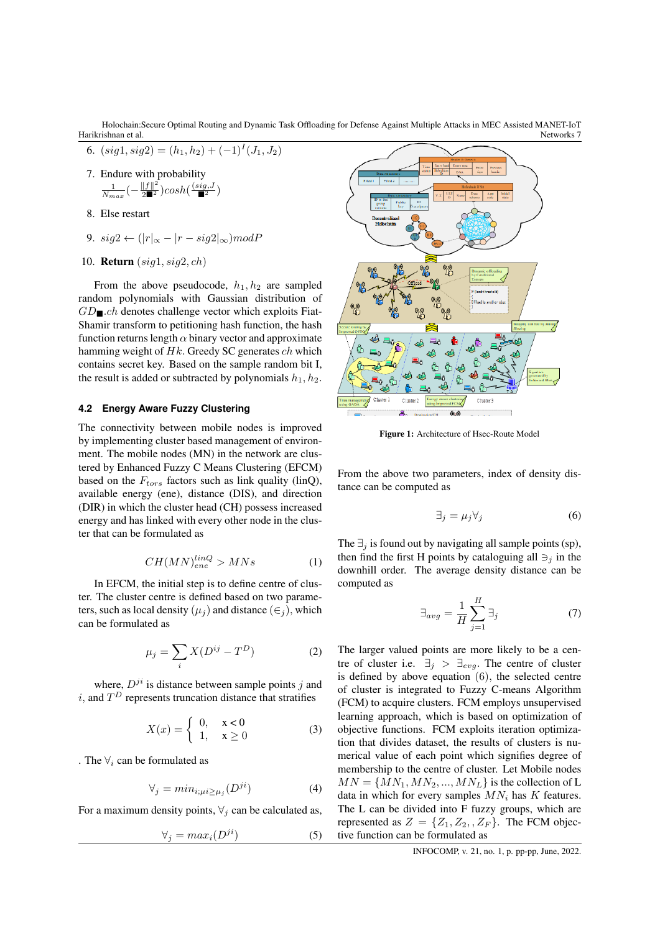Harikrishnan et al. Holochain:Secure Optimal Routing and Dynamic Task Offloading for Defense Against Multiple Attacks in MEC Assisted MANET-IoT Networks 7

- 6.  $(sign1, sig2) = (h_1, h_2) + (-1)^{I}(J_1, J_2)$
- 7. Endure with probability  $\frac{1}{N_{max}}(-\frac{\|f\|^2}{2}\text{cosh}(\frac{(sig,J}{\blacksquare^2})$
- 8. Else restart
- 9. sig2 ←  $(|r|_{\infty} |r sig2|_{\infty})modP$
- 10. Return (sig1, sig2, ch)

From the above pseudocode,  $h_1, h_2$  are sampled random polynomials with Gaussian distribution of  $GD_{\blacksquare}.ch$  denotes challenge vector which exploits Fiat-Shamir transform to petitioning hash function, the hash function returns length  $\alpha$  binary vector and approximate hamming weight of  $Hk$ . Greedy SC generates  $ch$  which contains secret key. Based on the sample random bit I, the result is added or subtracted by polynomials  $h_1, h_2$ .

### **4.2 Energy Aware Fuzzy Clustering**

The connectivity between mobile nodes is improved by implementing cluster based management of environment. The mobile nodes (MN) in the network are clustered by Enhanced Fuzzy C Means Clustering (EFCM) based on the  $F_{tors}$  factors such as link quality (linQ), available energy (ene), distance (DIS), and direction (DIR) in which the cluster head (CH) possess increased energy and has linked with every other node in the cluster that can be formulated as

$$
CH(MN)_{ene}^{linQ} > MNs \tag{1}
$$

In EFCM, the initial step is to define centre of cluster. The cluster centre is defined based on two parameters, such as local density ( $\mu_i$ ) and distance ( $\in$ <sub>i</sub>), which can be formulated as

$$
\mu_j = \sum_i X(D^{ij} - T^D) \tag{2}
$$

where,  $D^{ji}$  is distance between sample points j and i, and  $T^D$  represents truncation distance that stratifies

$$
X(x) = \begin{cases} 0, & x < 0 \\ 1, & x \ge 0 \end{cases} \tag{3}
$$

. The  $\forall_i$  can be formulated as

$$
\forall_j = \min_{i; \mu i \ge \mu_j} (D^{ji}) \tag{4}
$$

For a maximum density points,  $\forall_j$  can be calculated as,

$$
\forall_j = max_i (D^{ji}) \tag{5}
$$



Figure 1: Architecture of Hsec-Route Model

From the above two parameters, index of density distance can be computed as

$$
\exists_j = \mu_j \forall_j \tag{6}
$$

The  $\exists_i$  is found out by navigating all sample points (sp), then find the first H points by cataloguing all  $\exists$  in the downhill order. The average density distance can be computed as

$$
\exists_{avg} = \frac{1}{H} \sum_{j=1}^{H} \exists_j \tag{7}
$$

The larger valued points are more likely to be a centre of cluster i.e.  $\exists_j > \exists_{evg}$ . The centre of cluster is defined by above equation (6), the selected centre of cluster is integrated to Fuzzy C-means Algorithm (FCM) to acquire clusters. FCM employs unsupervised learning approach, which is based on optimization of objective functions. FCM exploits iteration optimization that divides dataset, the results of clusters is numerical value of each point which signifies degree of membership to the centre of cluster. Let Mobile nodes  $MN = \{MN_1, MN_2, ..., MN_L\}$  is the collection of L data in which for every samples  $MN_i$  has K features. The L can be divided into F fuzzy groups, which are represented as  $Z = \{Z_1, Z_2, Z_F\}$ . The FCM objective function can be formulated as

INFOCOMP, v. 21, no. 1, p. pp-pp, June, 2022.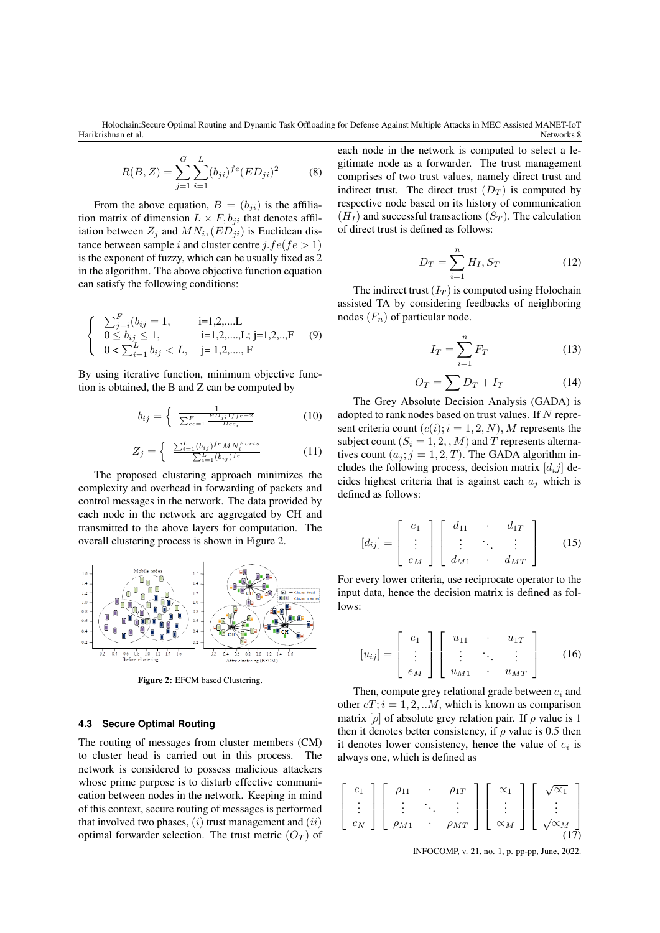$$
R(B, Z) = \sum_{j=1}^{G} \sum_{i=1}^{L} (b_{ji})^{fe} (ED_{ji})^2
$$
 (8)

From the above equation,  $B = (b_{ji})$  is the affiliation matrix of dimension  $L \times F$ ,  $b_{ji}$  that denotes affiliation between  $Z_j$  and  $MN_i$ ,  $(ED_{ji})$  is Euclidean distance between sample i and cluster centre j.f  $e$ (f $e > 1$ ) is the exponent of fuzzy, which can be usually fixed as 2 in the algorithm. The above objective function equation can satisfy the following conditions:

$$
\begin{cases}\n\sum_{j=i}^{F} (b_{ij} = 1, \quad i=1,2,...L \\
0 \le b_{ij} \le 1, \quad i=1,2,...,L; j=1,2,..,F \\
0 < \sum_{i=1}^{L} b_{ij} < L, \quad j=1,2,...,F\n\end{cases}
$$
(9)

By using iterative function, minimum objective function is obtained, the B and Z can be computed by

$$
b_{ij} = \begin{cases} \frac{1}{\sum_{cc=1}^{F} \frac{ED_{ji}1/fe-2}{Dec_i}} \end{cases}
$$
 (10)

$$
Z_j = \begin{cases} \sum_{i=1}^{L} (b_{ij})^{fe} M N_i^{Forts} \\ \sum_{i=1}^{L} (b_{ij})^{fe} \end{cases} \tag{11}
$$

The proposed clustering approach minimizes the complexity and overhead in forwarding of packets and control messages in the network. The data provided by each node in the network are aggregated by CH and transmitted to the above layers for computation. The overall clustering process is shown in Figure 2.



Figure 2: EFCM based Clustering.

#### **4.3 Secure Optimal Routing**

The routing of messages from cluster members (CM) to cluster head is carried out in this process. The network is considered to possess malicious attackers whose prime purpose is to disturb effective communication between nodes in the network. Keeping in mind of this context, secure routing of messages is performed that involved two phases,  $(i)$  trust management and  $(ii)$ optimal forwarder selection. The trust metric  $(O_T)$  of

each node in the network is computed to select a legitimate node as a forwarder. The trust management comprises of two trust values, namely direct trust and indirect trust. The direct trust  $(D_T)$  is computed by respective node based on its history of communication  $(H_I)$  and successful transactions  $(S_T)$ . The calculation of direct trust is defined as follows:

$$
D_T = \sum_{i=1}^{n} H_I, S_T
$$
 (12)

The indirect trust  $(I_T)$  is computed using Holochain assisted TA by considering feedbacks of neighboring nodes  $(F_n)$  of particular node.

$$
I_T = \sum_{i=1}^n F_T \tag{13}
$$

$$
O_T = \sum D_T + I_T \tag{14}
$$

The Grey Absolute Decision Analysis (GADA) is adopted to rank nodes based on trust values. If N represent criteria count  $(c(i); i = 1, 2, N)$ , M represents the subject count ( $S_i = 1, 2, M$ ) and T represents alternatives count  $(a_j; j = 1, 2, T)$ . The GADA algorithm includes the following process, decision matrix  $[d_i j]$  decides highest criteria that is against each  $a_i$  which is defined as follows:

$$
[d_{ij}] = \left[ \begin{array}{c} e_1 \\ \vdots \\ e_M \end{array} \right] \left[ \begin{array}{ccc} d_{11} & \cdots & d_{1T} \\ \vdots & \ddots & \vdots \\ d_{M1} & \cdots & d_{MT} \end{array} \right] \qquad (15)
$$

For every lower criteria, use reciprocate operator to the input data, hence the decision matrix is defined as follows:

$$
[u_{ij}] = \left[\begin{array}{c} e_1 \\ \vdots \\ e_M \end{array}\right] \left[\begin{array}{ccc} u_{11} & \cdots & u_{1T} \\ \vdots & \ddots & \vdots \\ u_{M1} & \cdots & u_{MT} \end{array}\right] \qquad (16)
$$

Then, compute grey relational grade between  $e_i$  and other  $eT$ ;  $i = 1, 2, ...M$ , which is known as comparison matrix  $[\rho]$  of absolute grey relation pair. If  $\rho$  value is 1 then it denotes better consistency, if  $\rho$  value is 0.5 then it denotes lower consistency, hence the value of  $e_i$  is always one, which is defined as



INFOCOMP, v. 21, no. 1, p. pp-pp, June, 2022.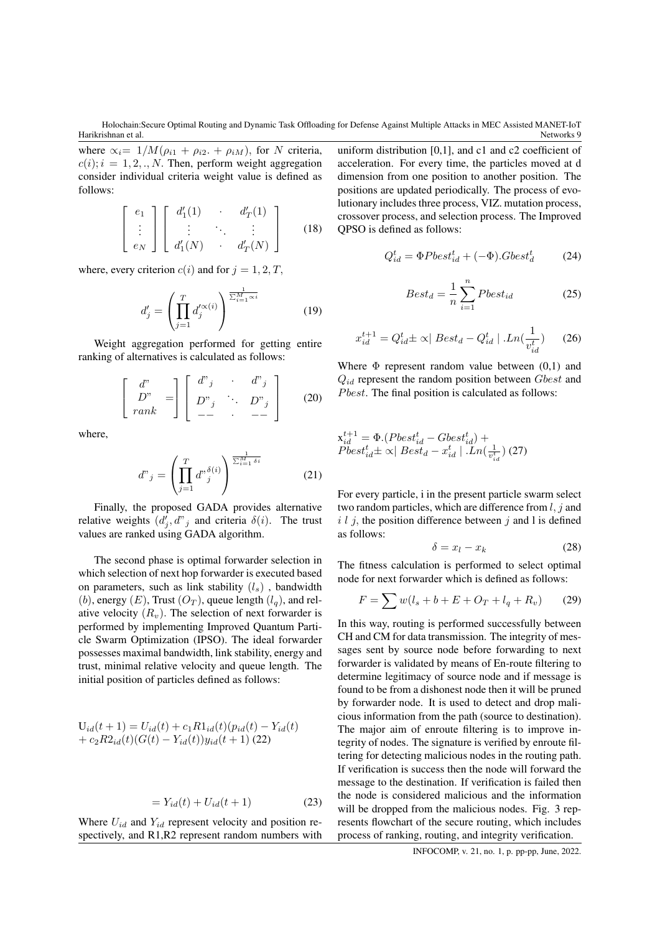where  $\alpha_i = 1/M(\rho_{i1} + \rho_{i2} + \rho_{iM})$ , for N criteria,  $c(i); i = 1, 2, \ldots, N$ . Then, perform weight aggregation consider individual criteria weight value is defined as follows:

$$
\begin{bmatrix} e_1 \\ \vdots \\ e_N \end{bmatrix} \begin{bmatrix} d'_1(1) & d'_T(1) \\ \vdots & \ddots & \vdots \\ d'_1(N) & d'_T(N) \end{bmatrix}
$$
 (18)

where, every criterion  $c(i)$  and for  $j = 1, 2, T$ ,

$$
d'_{j} = \left(\prod_{j=1}^{T} d'_{j} \alpha^{(\alpha)}\right)^{\frac{1}{\sum_{i=1}^{M} \alpha^{i}}}
$$
(19)

Weight aggregation performed for getting entire ranking of alternatives is calculated as follows:

$$
\begin{bmatrix} d^{\prime\prime} \\ D^{\prime\prime} \\ rank \end{bmatrix} = \begin{bmatrix} d^{\prime\prime}{}_{j} & \cdot & d^{\prime\prime}{}_{j} \\ D^{\prime\prime}{}_{j} & \cdot & D^{\prime\prime}{}_{j} \\ - & \cdot & - \cdot \end{bmatrix}
$$
 (20)

where,

$$
d^{\nu}{}_{j} = \left(\prod_{j=1}^{T} d^{\nu} \frac{\delta^{(i)}}{j}\right)^{\frac{1}{\sum_{i=1}^{M} \delta^{i}}} \tag{21}
$$

Finally, the proposed GADA provides alternative relative weights  $(d'_j, d''_j)$  and criteria  $\delta(i)$ . The trust values are ranked using GADA algorithm.

The second phase is optimal forwarder selection in which selection of next hop forwarder is executed based on parameters, such as link stability  $(l_s)$ , bandwidth (b), energy  $(E)$ , Trust  $(O_T)$ , queue length  $(l_q)$ , and relative velocity  $(R_v)$ . The selection of next forwarder is performed by implementing Improved Quantum Particle Swarm Optimization (IPSO). The ideal forwarder possesses maximal bandwidth, link stability, energy and trust, minimal relative velocity and queue length. The initial position of particles defined as follows:

$$
U_{id}(t+1) = U_{id}(t) + c_1 R1_{id}(t) (p_{id}(t) - Y_{id}(t)
$$
  
+  $c_2 R2_{id}(t) (G(t) - Y_{id}(t)) y_{id}(t+1)$  (22)

$$
= Y_{id}(t) + U_{id}(t+1) \tag{23}
$$

Where  $U_{id}$  and  $Y_{id}$  represent velocity and position respectively, and R1,R2 represent random numbers with

uniform distribution [0,1], and c1 and c2 coefficient of acceleration. For every time, the particles moved at d dimension from one position to another position. The positions are updated periodically. The process of evolutionary includes three process, VIZ. mutation process, crossover process, and selection process. The Improved QPSO is defined as follows:

$$
Q_{id}^t = \Phi P best_{id}^t + (-\Phi).G best_d^t \tag{24}
$$

$$
Best_d = \frac{1}{n} \sum_{i=1}^{n} Pbest_{id} \tag{25}
$$

$$
x_{id}^{t+1} = Q_{id}^t \pm \propto | \text{ Best}_d - Q_{id}^t | \cdot Ln(\frac{1}{v_{id}^t}) \qquad (26)
$$

Where  $\Phi$  represent random value between  $(0,1)$  and  $Q_{id}$  represent the random position between  $Gbest$  and  $P best$ . The final position is calculated as follows:

$$
x_{id}^{t+1} = \Phi.(Pbest_{id}^t - Gbest_{id}^t) + Pbest_{id}^t \pm \propto | Best_d - x_{id}^t | .Ln(\frac{1}{v_{id}^t}) (27)
$$

For every particle, i in the present particle swarm select two random particles, which are difference from  $l, j$  and  $i$  l j, the position difference between j and l is defined as follows:

$$
\delta = x_l - x_k \tag{28}
$$

The fitness calculation is performed to select optimal node for next forwarder which is defined as follows:

$$
F = \sum w(l_s + b + E + O_T + l_q + R_v)
$$
 (29)

In this way, routing is performed successfully between CH and CM for data transmission. The integrity of messages sent by source node before forwarding to next forwarder is validated by means of En-route filtering to determine legitimacy of source node and if message is found to be from a dishonest node then it will be pruned by forwarder node. It is used to detect and drop malicious information from the path (source to destination). The major aim of enroute filtering is to improve integrity of nodes. The signature is verified by enroute filtering for detecting malicious nodes in the routing path. If verification is success then the node will forward the message to the destination. If verification is failed then the node is considered malicious and the information will be dropped from the malicious nodes. Fig. 3 represents flowchart of the secure routing, which includes process of ranking, routing, and integrity verification.

INFOCOMP, v. 21, no. 1, p. pp-pp, June, 2022.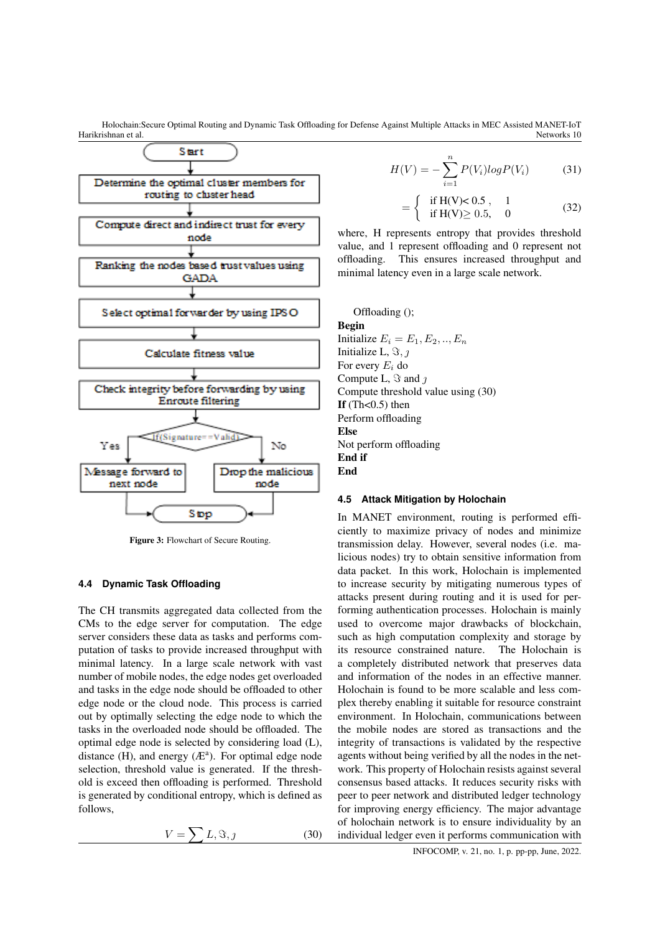

Figure 3: Flowchart of Secure Routing.

### **4.4 Dynamic Task Offloading**

The CH transmits aggregated data collected from the CMs to the edge server for computation. The edge server considers these data as tasks and performs computation of tasks to provide increased throughput with minimal latency. In a large scale network with vast number of mobile nodes, the edge nodes get overloaded and tasks in the edge node should be offloaded to other edge node or the cloud node. This process is carried out by optimally selecting the edge node to which the tasks in the overloaded node should be offloaded. The optimal edge node is selected by considering load (L), distance (H), and energy  $(E^a)$ . For optimal edge node selection, threshold value is generated. If the threshold is exceed then offloading is performed. Threshold is generated by conditional entropy, which is defined as follows,

$$
V = \sum L, \Im, \jmath \tag{30}
$$

$$
H(V) = -\sum_{i=1}^{n} P(V_i) log P(V_i)
$$
 (31)

$$
= \begin{cases} \text{if } H(V) < 0.5, 1 \\ \text{if } H(V) \ge 0.5, 0 \end{cases}
$$
 (32)

where, H represents entropy that provides threshold value, and 1 represent offloading and 0 represent not offloading. This ensures increased throughput and minimal latency even in a large scale network.

Offloading (); Begin Initialize  $E_i = E_1, E_2, ..., E_n$ Initialize L,  $\Im$ ,  $\eta$ For every  $E_i$  do Compute L,  $\Im$  and  $\jmath$ Compute threshold value using (30) If  $(Th<0.5)$  then Perform offloading Else Not perform offloading End if End

### **4.5 Attack Mitigation by Holochain**

In MANET environment, routing is performed efficiently to maximize privacy of nodes and minimize transmission delay. However, several nodes (i.e. malicious nodes) try to obtain sensitive information from data packet. In this work, Holochain is implemented to increase security by mitigating numerous types of attacks present during routing and it is used for performing authentication processes. Holochain is mainly used to overcome major drawbacks of blockchain, such as high computation complexity and storage by its resource constrained nature. The Holochain is a completely distributed network that preserves data and information of the nodes in an effective manner. Holochain is found to be more scalable and less complex thereby enabling it suitable for resource constraint environment. In Holochain, communications between the mobile nodes are stored as transactions and the integrity of transactions is validated by the respective agents without being verified by all the nodes in the network. This property of Holochain resists against several consensus based attacks. It reduces security risks with peer to peer network and distributed ledger technology for improving energy efficiency. The major advantage of holochain network is to ensure individuality by an individual ledger even it performs communication with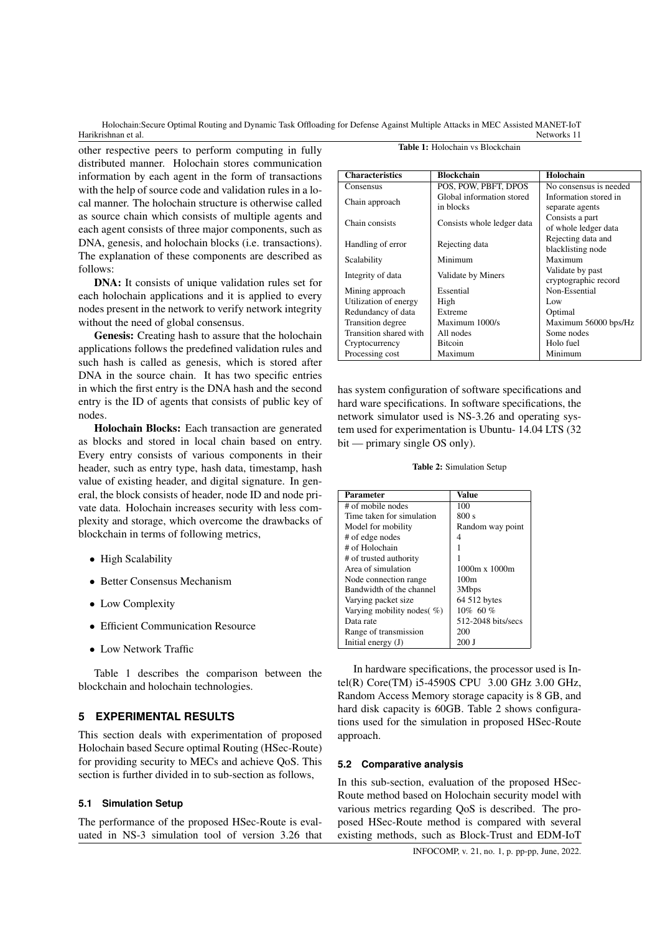other respective peers to perform computing in fully distributed manner. Holochain stores communication information by each agent in the form of transactions with the help of source code and validation rules in a local manner. The holochain structure is otherwise called as source chain which consists of multiple agents and each agent consists of three major components, such as DNA, genesis, and holochain blocks (i.e. transactions). The explanation of these components are described as follows:

DNA: It consists of unique validation rules set for each holochain applications and it is applied to every nodes present in the network to verify network integrity without the need of global consensus.

Genesis: Creating hash to assure that the holochain applications follows the predefined validation rules and such hash is called as genesis, which is stored after DNA in the source chain. It has two specific entries in which the first entry is the DNA hash and the second entry is the ID of agents that consists of public key of nodes.

Holochain Blocks: Each transaction are generated as blocks and stored in local chain based on entry. Every entry consists of various components in their header, such as entry type, hash data, timestamp, hash value of existing header, and digital signature. In general, the block consists of header, node ID and node private data. Holochain increases security with less complexity and storage, which overcome the drawbacks of blockchain in terms of following metrics,

- High Scalability
- Better Consensus Mechanism
- Low Complexity
- Efficient Communication Resource
- Low Network Traffic

Table 1 describes the comparison between the blockchain and holochain technologies.

### **5 EXPERIMENTAL RESULTS**

This section deals with experimentation of proposed Holochain based Secure optimal Routing (HSec-Route) for providing security to MECs and achieve QoS. This section is further divided in to sub-section as follows,

### **5.1 Simulation Setup**

The performance of the proposed HSec-Route is evaluated in NS-3 simulation tool of version 3.26 that

| <b>Characteristics</b> | <b>Blockchain</b>          | Holochain              |
|------------------------|----------------------------|------------------------|
| Consensus              | POS, POW, PBFT, DPOS       | No consensus is needed |
| Chain approach         | Global information stored  | Information stored in  |
|                        | in blocks                  | separate agents        |
| Chain consists         | Consists whole ledger data | Consists a part        |
|                        |                            | of whole ledger data   |
| Handling of error      | Rejecting data             | Rejecting data and     |
|                        |                            | blacklisting node      |
| Scalability            | Minimum                    | Maximum                |
| Integrity of data      | Validate by Miners         | Validate by past       |
|                        |                            | cryptographic record   |
| Mining approach        | Essential                  | Non-Essential          |
| Utilization of energy  | High                       | Low                    |
| Redundancy of data     | Extreme                    | Optimal                |
| Transition degree      | Maximum 1000/s             | Maximum 56000 bps/Hz   |
| Transition shared with | All nodes                  | Some nodes             |
| Cryptocurrency         | <b>Bitcoin</b>             | Holo fuel              |
| Processing cost        | Maximum                    | Minimum                |

has system configuration of software specifications and hard ware specifications. In software specifications, the network simulator used is NS-3.26 and operating system used for experimentation is Ubuntu- 14.04 LTS (32 bit — primary single OS only).

Table 2: Simulation Setup

| <b>Parameter</b>               | <b>Value</b>         |  |
|--------------------------------|----------------------|--|
| # of mobile nodes              | 100                  |  |
| Time taken for simulation      | 800 s                |  |
| Model for mobility             | Random way point     |  |
| # of edge nodes                |                      |  |
| # of Holochain                 |                      |  |
| # of trusted authority         |                      |  |
| Area of simulation             | $1000m \times 1000m$ |  |
| Node connection range          | 100m                 |  |
| Bandwidth of the channel       | 3Mbps                |  |
| Varying packet size            | 64 512 bytes         |  |
| Varying mobility nodes $(\% )$ | 10% 60%              |  |
| Data rate                      | 512-2048 bits/secs   |  |
| Range of transmission          | 200                  |  |
| Initial energy $(J)$           | 200 J                |  |

In hardware specifications, the processor used is Intel(R) Core(TM) i5-4590S CPU 3.00 GHz 3.00 GHz, Random Access Memory storage capacity is 8 GB, and hard disk capacity is 60GB. Table 2 shows configurations used for the simulation in proposed HSec-Route approach.

### **5.2 Comparative analysis**

In this sub-section, evaluation of the proposed HSec-Route method based on Holochain security model with various metrics regarding QoS is described. The proposed HSec-Route method is compared with several existing methods, such as Block-Trust and EDM-IoT

#### Table 1: Holochain vs Blockchain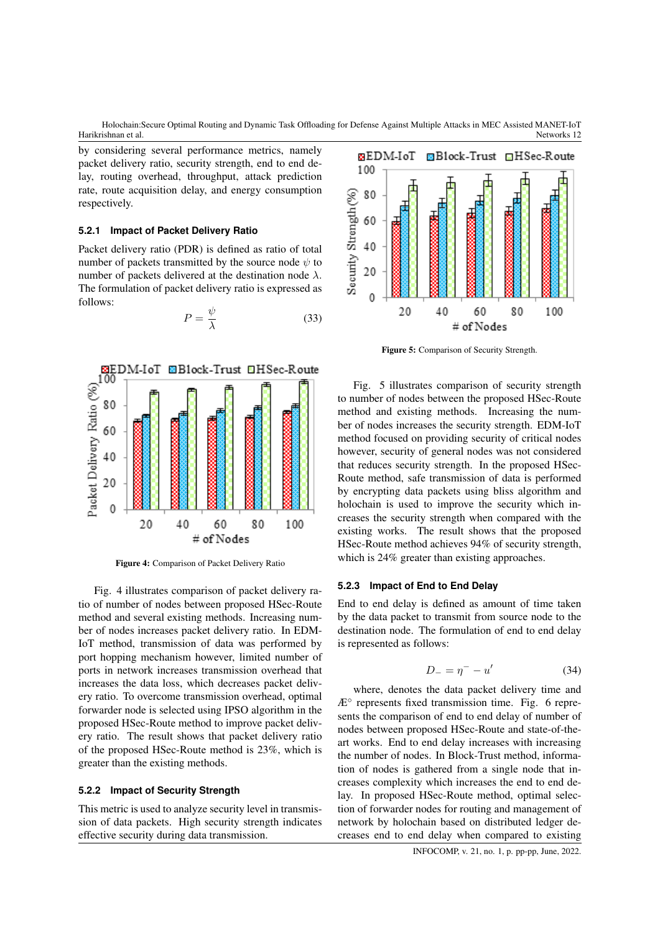by considering several performance metrics, namely packet delivery ratio, security strength, end to end delay, routing overhead, throughput, attack prediction rate, route acquisition delay, and energy consumption respectively.

### **5.2.1 Impact of Packet Delivery Ratio**

Packet delivery ratio (PDR) is defined as ratio of total number of packets transmitted by the source node  $\psi$  to number of packets delivered at the destination node  $\lambda$ . The formulation of packet delivery ratio is expressed as follows:

$$
P = \frac{\psi}{\lambda} \tag{33}
$$



Figure 4: Comparison of Packet Delivery Ratio

Fig. 4 illustrates comparison of packet delivery ratio of number of nodes between proposed HSec-Route method and several existing methods. Increasing number of nodes increases packet delivery ratio. In EDM-IoT method, transmission of data was performed by port hopping mechanism however, limited number of ports in network increases transmission overhead that increases the data loss, which decreases packet delivery ratio. To overcome transmission overhead, optimal forwarder node is selected using IPSO algorithm in the proposed HSec-Route method to improve packet delivery ratio. The result shows that packet delivery ratio of the proposed HSec-Route method is 23%, which is greater than the existing methods.

### **5.2.2 Impact of Security Strength**

This metric is used to analyze security level in transmission of data packets. High security strength indicates effective security during data transmission.



Figure 5: Comparison of Security Strength.

Fig. 5 illustrates comparison of security strength to number of nodes between the proposed HSec-Route method and existing methods. Increasing the number of nodes increases the security strength. EDM-IoT method focused on providing security of critical nodes however, security of general nodes was not considered that reduces security strength. In the proposed HSec-Route method, safe transmission of data is performed by encrypting data packets using bliss algorithm and holochain is used to improve the security which increases the security strength when compared with the existing works. The result shows that the proposed HSec-Route method achieves 94% of security strength, which is 24% greater than existing approaches.

### **5.2.3 Impact of End to End Delay**

End to end delay is defined as amount of time taken by the data packet to transmit from source node to the destination node. The formulation of end to end delay is represented as follows:

$$
D_- = \eta^- - u'
$$
 (34)

where, denotes the data packet delivery time and  $AE<sup>o</sup>$  represents fixed transmission time. Fig. 6 represents the comparison of end to end delay of number of nodes between proposed HSec-Route and state-of-theart works. End to end delay increases with increasing the number of nodes. In Block-Trust method, information of nodes is gathered from a single node that increases complexity which increases the end to end delay. In proposed HSec-Route method, optimal selection of forwarder nodes for routing and management of network by holochain based on distributed ledger decreases end to end delay when compared to existing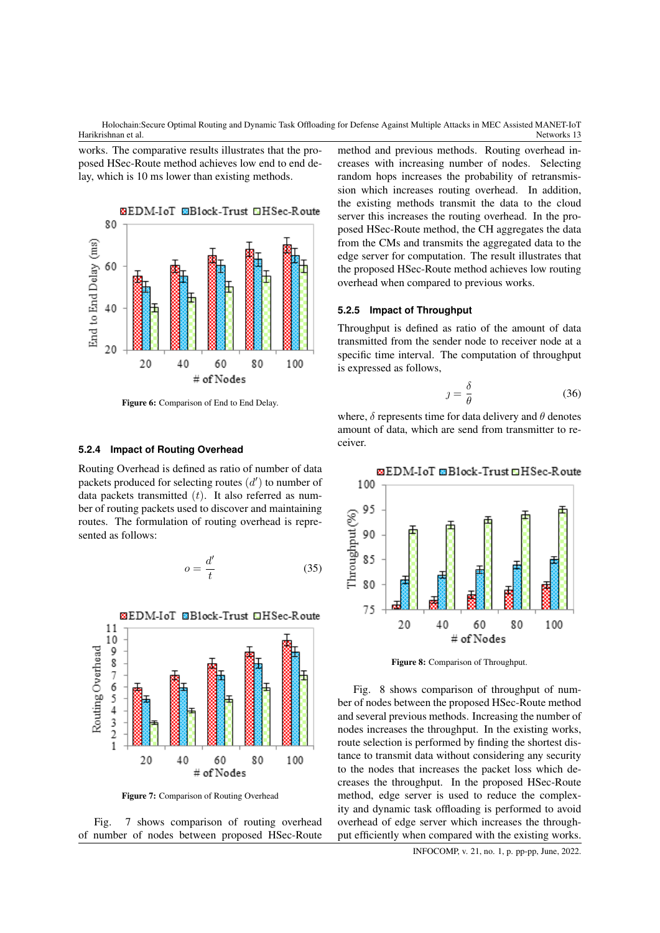works. The comparative results illustrates that the proposed HSec-Route method achieves low end to end delay, which is 10 ms lower than existing methods.



Figure 6: Comparison of End to End Delay.

#### **5.2.4 Impact of Routing Overhead**

Routing Overhead is defined as ratio of number of data packets produced for selecting routes  $(d')$  to number of data packets transmitted  $(t)$ . It also referred as number of routing packets used to discover and maintaining routes. The formulation of routing overhead is represented as follows:

$$
o = \frac{d'}{t} \tag{35}
$$



Figure 7: Comparison of Routing Overhead



method and previous methods. Routing overhead increases with increasing number of nodes. Selecting random hops increases the probability of retransmission which increases routing overhead. In addition, the existing methods transmit the data to the cloud server this increases the routing overhead. In the proposed HSec-Route method, the CH aggregates the data from the CMs and transmits the aggregated data to the edge server for computation. The result illustrates that the proposed HSec-Route method achieves low routing overhead when compared to previous works.

#### **5.2.5 Impact of Throughput**

Throughput is defined as ratio of the amount of data transmitted from the sender node to receiver node at a specific time interval. The computation of throughput is expressed as follows,

$$
j = \frac{\delta}{\theta} \tag{36}
$$

where,  $\delta$  represents time for data delivery and  $\theta$  denotes amount of data, which are send from transmitter to receiver.



Figure 8: Comparison of Throughput.

Fig. 8 shows comparison of throughput of number of nodes between the proposed HSec-Route method and several previous methods. Increasing the number of nodes increases the throughput. In the existing works, route selection is performed by finding the shortest distance to transmit data without considering any security to the nodes that increases the packet loss which decreases the throughput. In the proposed HSec-Route method, edge server is used to reduce the complexity and dynamic task offloading is performed to avoid overhead of edge server which increases the throughput efficiently when compared with the existing works.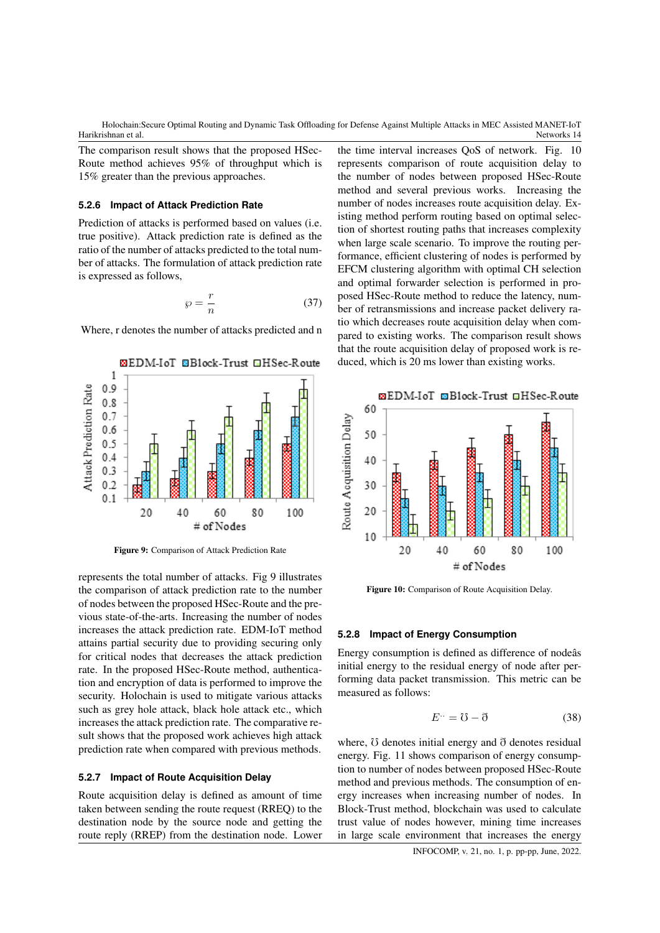The comparison result shows that the proposed HSec-Route method achieves 95% of throughput which is 15% greater than the previous approaches.

### **5.2.6 Impact of Attack Prediction Rate**

Prediction of attacks is performed based on values (i.e. true positive). Attack prediction rate is defined as the ratio of the number of attacks predicted to the total number of attacks. The formulation of attack prediction rate is expressed as follows,

$$
\wp = \frac{r}{n} \tag{37}
$$

Where, r denotes the number of attacks predicted and n



Figure 9: Comparison of Attack Prediction Rate

represents the total number of attacks. Fig 9 illustrates the comparison of attack prediction rate to the number of nodes between the proposed HSec-Route and the previous state-of-the-arts. Increasing the number of nodes increases the attack prediction rate. EDM-IoT method attains partial security due to providing securing only for critical nodes that decreases the attack prediction rate. In the proposed HSec-Route method, authentication and encryption of data is performed to improve the security. Holochain is used to mitigate various attacks such as grey hole attack, black hole attack etc., which increases the attack prediction rate. The comparative result shows that the proposed work achieves high attack prediction rate when compared with previous methods.

### **5.2.7 Impact of Route Acquisition Delay**

Route acquisition delay is defined as amount of time taken between sending the route request (RREQ) to the destination node by the source node and getting the route reply (RREP) from the destination node. Lower

the time interval increases QoS of network. Fig. 10 represents comparison of route acquisition delay to the number of nodes between proposed HSec-Route method and several previous works. Increasing the number of nodes increases route acquisition delay. Existing method perform routing based on optimal selection of shortest routing paths that increases complexity when large scale scenario. To improve the routing performance, efficient clustering of nodes is performed by EFCM clustering algorithm with optimal CH selection and optimal forwarder selection is performed in proposed HSec-Route method to reduce the latency, number of retransmissions and increase packet delivery ratio which decreases route acquisition delay when compared to existing works. The comparison result shows that the route acquisition delay of proposed work is reduced, which is 20 ms lower than existing works.



Figure 10: Comparison of Route Acquisition Delay.

#### **5.2.8 Impact of Energy Consumption**

Energy consumption is defined as difference of nodeâs initial energy to the residual energy of node after performing data packet transmission. This metric can be measured as follows:

$$
E^{\cdots} = \mho - \eth \tag{38}
$$

where,  $\sigma$  denotes initial energy and  $\sigma$  denotes residual energy. Fig. 11 shows comparison of energy consumption to number of nodes between proposed HSec-Route method and previous methods. The consumption of energy increases when increasing number of nodes. In Block-Trust method, blockchain was used to calculate trust value of nodes however, mining time increases in large scale environment that increases the energy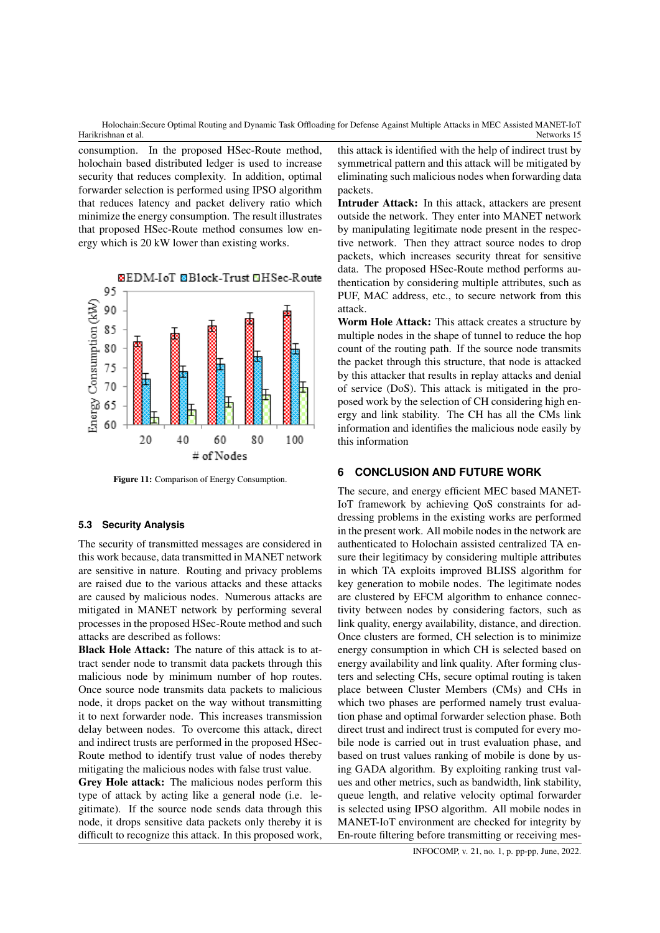consumption. In the proposed HSec-Route method, holochain based distributed ledger is used to increase security that reduces complexity. In addition, optimal forwarder selection is performed using IPSO algorithm that reduces latency and packet delivery ratio which minimize the energy consumption. The result illustrates that proposed HSec-Route method consumes low energy which is 20 kW lower than existing works.



Figure 11: Comparison of Energy Consumption.

### **5.3 Security Analysis**

The security of transmitted messages are considered in this work because, data transmitted in MANET network are sensitive in nature. Routing and privacy problems are raised due to the various attacks and these attacks are caused by malicious nodes. Numerous attacks are mitigated in MANET network by performing several processes in the proposed HSec-Route method and such attacks are described as follows:

Black Hole Attack: The nature of this attack is to attract sender node to transmit data packets through this malicious node by minimum number of hop routes. Once source node transmits data packets to malicious node, it drops packet on the way without transmitting it to next forwarder node. This increases transmission delay between nodes. To overcome this attack, direct and indirect trusts are performed in the proposed HSec-Route method to identify trust value of nodes thereby mitigating the malicious nodes with false trust value.

Grey Hole attack: The malicious nodes perform this type of attack by acting like a general node (i.e. legitimate). If the source node sends data through this node, it drops sensitive data packets only thereby it is difficult to recognize this attack. In this proposed work,

this attack is identified with the help of indirect trust by symmetrical pattern and this attack will be mitigated by eliminating such malicious nodes when forwarding data packets.

Intruder Attack: In this attack, attackers are present outside the network. They enter into MANET network by manipulating legitimate node present in the respective network. Then they attract source nodes to drop packets, which increases security threat for sensitive data. The proposed HSec-Route method performs authentication by considering multiple attributes, such as PUF, MAC address, etc., to secure network from this attack.

Worm Hole Attack: This attack creates a structure by multiple nodes in the shape of tunnel to reduce the hop count of the routing path. If the source node transmits the packet through this structure, that node is attacked by this attacker that results in replay attacks and denial of service (DoS). This attack is mitigated in the proposed work by the selection of CH considering high energy and link stability. The CH has all the CMs link information and identifies the malicious node easily by this information

### **6 CONCLUSION AND FUTURE WORK**

The secure, and energy efficient MEC based MANET-IoT framework by achieving QoS constraints for addressing problems in the existing works are performed in the present work. All mobile nodes in the network are authenticated to Holochain assisted centralized TA ensure their legitimacy by considering multiple attributes in which TA exploits improved BLISS algorithm for key generation to mobile nodes. The legitimate nodes are clustered by EFCM algorithm to enhance connectivity between nodes by considering factors, such as link quality, energy availability, distance, and direction. Once clusters are formed, CH selection is to minimize energy consumption in which CH is selected based on energy availability and link quality. After forming clusters and selecting CHs, secure optimal routing is taken place between Cluster Members (CMs) and CHs in which two phases are performed namely trust evaluation phase and optimal forwarder selection phase. Both direct trust and indirect trust is computed for every mobile node is carried out in trust evaluation phase, and based on trust values ranking of mobile is done by using GADA algorithm. By exploiting ranking trust values and other metrics, such as bandwidth, link stability, queue length, and relative velocity optimal forwarder is selected using IPSO algorithm. All mobile nodes in MANET-IoT environment are checked for integrity by En-route filtering before transmitting or receiving mes-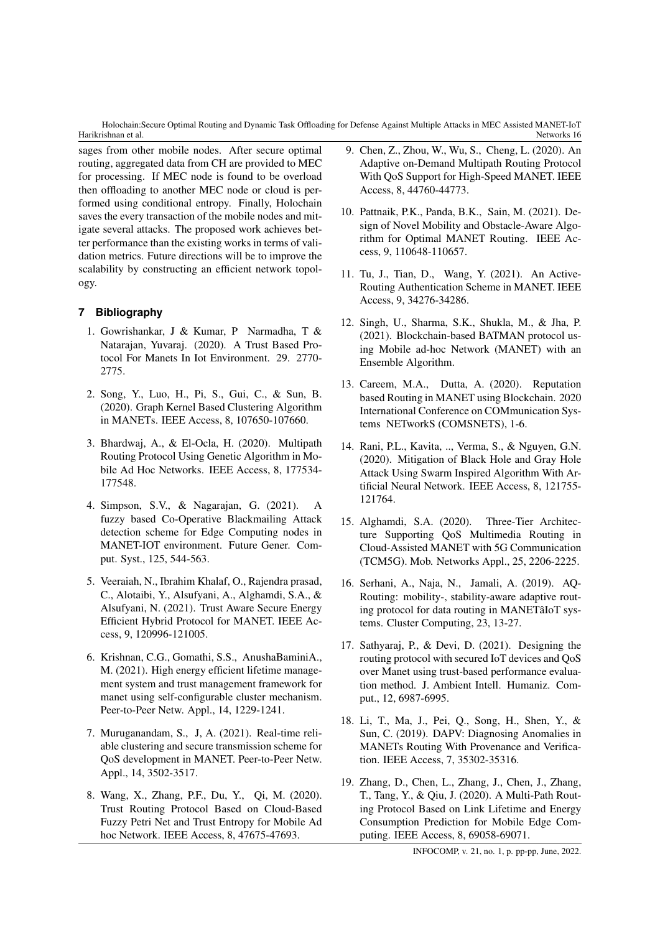sages from other mobile nodes. After secure optimal routing, aggregated data from CH are provided to MEC for processing. If MEC node is found to be overload then offloading to another MEC node or cloud is performed using conditional entropy. Finally, Holochain saves the every transaction of the mobile nodes and mitigate several attacks. The proposed work achieves better performance than the existing works in terms of validation metrics. Future directions will be to improve the scalability by constructing an efficient network topology.

# **7 Bibliography**

- 1. Gowrishankar, J & Kumar, P Narmadha, T & Natarajan, Yuvaraj. (2020). A Trust Based Protocol For Manets In Iot Environment. 29. 2770- 2775.
- 2. Song, Y., Luo, H., Pi, S., Gui, C., & Sun, B. (2020). Graph Kernel Based Clustering Algorithm in MANETs. IEEE Access, 8, 107650-107660.
- 3. Bhardwaj, A., & El-Ocla, H. (2020). Multipath Routing Protocol Using Genetic Algorithm in Mobile Ad Hoc Networks. IEEE Access, 8, 177534- 177548.
- 4. Simpson, S.V., & Nagarajan, G. (2021). A fuzzy based Co-Operative Blackmailing Attack detection scheme for Edge Computing nodes in MANET-IOT environment. Future Gener. Comput. Syst., 125, 544-563.
- 5. Veeraiah, N., Ibrahim Khalaf, O., Rajendra prasad, C., Alotaibi, Y., Alsufyani, A., Alghamdi, S.A., & Alsufyani, N. (2021). Trust Aware Secure Energy Efficient Hybrid Protocol for MANET. IEEE Access, 9, 120996-121005.
- 6. Krishnan, C.G., Gomathi, S.S., AnushaBaminiA., M. (2021). High energy efficient lifetime management system and trust management framework for manet using self-configurable cluster mechanism. Peer-to-Peer Netw. Appl., 14, 1229-1241.
- 7. Muruganandam, S., J, A. (2021). Real-time reliable clustering and secure transmission scheme for QoS development in MANET. Peer-to-Peer Netw. Appl., 14, 3502-3517.
- 8. Wang, X., Zhang, P.F., Du, Y., Qi, M. (2020). Trust Routing Protocol Based on Cloud-Based Fuzzy Petri Net and Trust Entropy for Mobile Ad hoc Network. IEEE Access, 8, 47675-47693.
- 9. Chen, Z., Zhou, W., Wu, S., Cheng, L. (2020). An Adaptive on-Demand Multipath Routing Protocol With QoS Support for High-Speed MANET. IEEE Access, 8, 44760-44773.
- 10. Pattnaik, P.K., Panda, B.K., Sain, M. (2021). Design of Novel Mobility and Obstacle-Aware Algorithm for Optimal MANET Routing. IEEE Access, 9, 110648-110657.
- 11. Tu, J., Tian, D., Wang, Y. (2021). An Active-Routing Authentication Scheme in MANET. IEEE Access, 9, 34276-34286.
- 12. Singh, U., Sharma, S.K., Shukla, M., & Jha, P. (2021). Blockchain-based BATMAN protocol using Mobile ad-hoc Network (MANET) with an Ensemble Algorithm.
- 13. Careem, M.A., Dutta, A. (2020). Reputation based Routing in MANET using Blockchain. 2020 International Conference on COMmunication Systems NETworkS (COMSNETS), 1-6.
- 14. Rani, P.L., Kavita, .., Verma, S., & Nguyen, G.N. (2020). Mitigation of Black Hole and Gray Hole Attack Using Swarm Inspired Algorithm With Artificial Neural Network. IEEE Access, 8, 121755- 121764.
- 15. Alghamdi, S.A. (2020). Three-Tier Architecture Supporting QoS Multimedia Routing in Cloud-Assisted MANET with 5G Communication (TCM5G). Mob. Networks Appl., 25, 2206-2225.
- 16. Serhani, A., Naja, N., Jamali, A. (2019). AQ-Routing: mobility-, stability-aware adaptive routing protocol for data routing in MANETâIoT systems. Cluster Computing, 23, 13-27.
- 17. Sathyaraj, P., & Devi, D. (2021). Designing the routing protocol with secured IoT devices and QoS over Manet using trust-based performance evaluation method. J. Ambient Intell. Humaniz. Comput., 12, 6987-6995.
- 18. Li, T., Ma, J., Pei, Q., Song, H., Shen, Y., & Sun, C. (2019). DAPV: Diagnosing Anomalies in MANETs Routing With Provenance and Verification. IEEE Access, 7, 35302-35316.
- 19. Zhang, D., Chen, L., Zhang, J., Chen, J., Zhang, T., Tang, Y., & Qiu, J. (2020). A Multi-Path Routing Protocol Based on Link Lifetime and Energy Consumption Prediction for Mobile Edge Computing. IEEE Access, 8, 69058-69071.